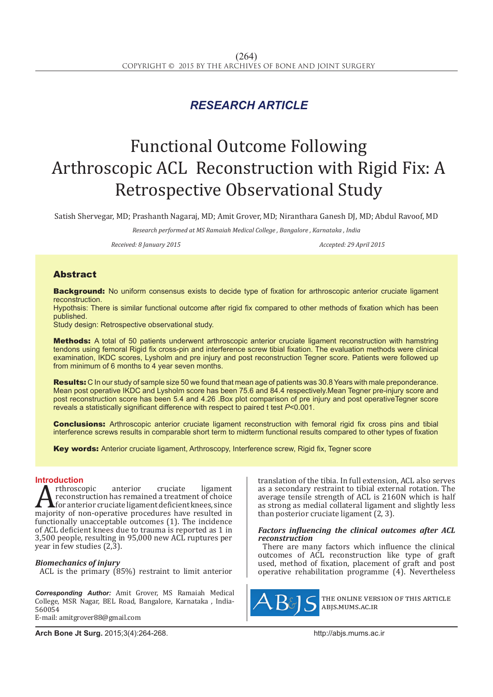# *RESEARCH ARTICLE*

# Functional Outcome Following Arthroscopic ACL Reconstruction with Rigid Fix: A Retrospective Observational Study

Satish Shervegar, MD; Prashanth Nagaraj, MD; Amit Grover, MD; Niranthara Ganesh DJ, MD; Abdul Ravoof, MD

*Research performed at MS Ramaiah Medical College , Bangalore , Karnataka , India*

*Received: 8 January 2015 Accepted: 29 April 2015*

## Abstract

**Background:** No uniform consensus exists to decide type of fixation for arthroscopic anterior cruciate ligament reconstruction.

Hypothsis: There is similar functional outcome after rigid fix compared to other methods of fixation which has been published.

Study design: Retrospective observational study.

Methods: A total of 50 patients underwent arthroscopic anterior cruciate ligament reconstruction with hamstring tendons using femoral Rigid fix cross-pin and interference screw tibial fixation. The evaluation methods were clinical examination, IKDC scores, Lysholm and pre injury and post reconstruction Tegner score. Patients were followed up from minimum of 6 months to 4 year seven months.

Results: C In our study of sample size 50 we found that mean age of patients was 30.8 Years with male preponderance. Mean post operative IKDC and Lysholm score has been 75.6 and 84.4 respectively.Mean Tegner pre-injury score and post reconstruction score has been 5.4 and 4.26 .Box plot comparison of pre injury and post operativeTegner score reveals a statistically significant difference with respect to paired t test *P*<0.001.

**Conclusions:** Arthroscopic anterior cruciate ligament reconstruction with femoral rigid fix cross pins and tibial interference screws results in comparable short term to midterm functional results compared to other types of fixation

Key words: Anterior cruciate ligament, Arthroscopy, Interference screw, Rigid fix, Tegner score

# **Introduction**<br>**A** rthroscopic

Arthroscopic anterior cruciate ligament<br>
for anterior cruciate ligament deficient knees, since<br>
majority of non-operative procedures have resulted in<br>
functionally unaccentable outcomes (1). The incidence reconstruction has remained a treatment of choice for anterior cruciate ligament deficient knees, since functionally unacceptable outcomes (1). The incidence of ACL deficient knees due to trauma is reported as 1 in 3,500 people, resulting in 95,000 new ACL ruptures per year in few studies (2,3).

#### *Biomechanics of injury*

ACL is the primary (85%) restraint to limit anterior

*Corresponding Author:* Amit Grover, MS Ramaiah Medical College, MSR Nagar, BEL Road, Bangalore, Karnataka , India-560054 E-mail: amitgrover88@gmail.com

translation of the tibia. In full extension, ACL also serves as a secondary restraint to tibial external rotation. The average tensile strength of ACL is 2160N which is half as strong as medial collateral ligament and slightly less than posterior cruciate ligament (2, 3).

#### *Factors influencing the clinical outcomes after ACL reconstruction*

There are many factors which influence the clinical outcomes of ACL reconstruction like type of graft used, method of fixation, placement of graft and post operative rehabilitation programme (4). Nevertheless



the online version of this article abjs.mums.ac.ir

**Arch Bone Jt Surg.** 2015;3(4):264-268.http://abjs.mums.ac.ir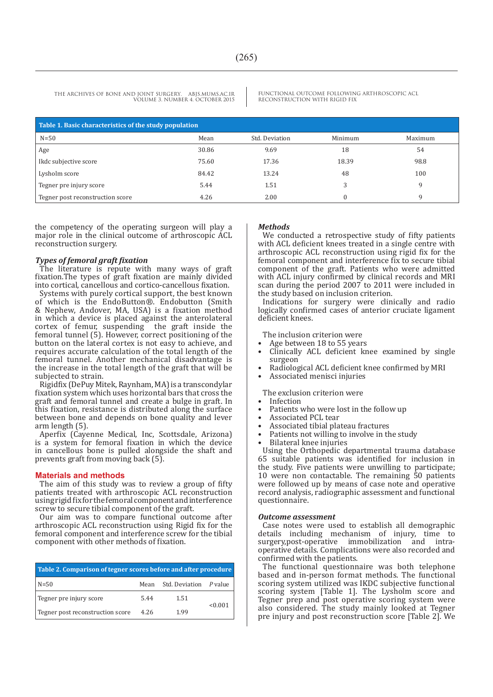FUNCTIONAL OUTCOME FOLLOWING ARTHROSCOPIC ACL RECONSTRUCTION WITH RIGID FIX

| Table 1. Basic characteristics of the study population |       |                |         |         |  |
|--------------------------------------------------------|-------|----------------|---------|---------|--|
| $N=50$                                                 | Mean  | Std. Deviation | Minimum | Maximum |  |
| Age                                                    | 30.86 | 9.69           | 18      | 54      |  |
| Ikdc subjective score                                  | 75.60 | 17.36          | 18.39   | 98.8    |  |
| Lysholm score                                          | 84.42 | 13.24          | 48      | 100     |  |
| Tegner pre injury score                                | 5.44  | 1.51           | 3       | a       |  |
| Tegner post reconstruction score                       | 4.26  | 2.00           |         | a       |  |

the competency of the operating surgeon will play a major role in the clinical outcome of arthroscopic ACL reconstruction surgery.

#### *Types of femoral graft fixation*

The literature is repute with many ways of graft fixation.The types of graft fixation are mainly divided into cortical, cancellous and cortico-cancellous fixation.

Systems with purely cortical support, the best known of which is the EndoButton®. Endobutton (Smith & Nephew, Andover, MA, USA) is a fixation method in which a device is placed against the anterolateral cortex of femur, suspending the graft inside the femoral tunnel (5). However, correct positioning of the button on the lateral cortex is not easy to achieve, and requires accurate calculation of the total length of the femoral tunnel. Another mechanical disadvantage is the increase in the total length of the graft that will be subjected to strain.

Rigidfix (DePuy Mitek, Raynham, MA) is a transcondylar fixation system which uses horizontal bars that cross the graft and femoral tunnel and create a bulge in graft. In this fixation, resistance is distributed along the surface between bone and depends on bone quality and lever arm length (5).

Aperfix (Cayenne Medical, Inc, Scottsdale, Arizona) is a system for femoral fixation in which the device in cancellous bone is pulled alongside the shaft and prevents graft from moving back (5).

#### **Materials and methods**

The aim of this study was to review a group of fifty patients treated with arthroscopic ACL reconstruction using rigid fix for the femoral component and interference screw to secure tibial component of the graft.

Our aim was to compare functional outcome after arthroscopic ACL reconstruction using Rigid fix for the femoral component and interference screw for the tibial component with other methods of fixation.

| Table 2. Comparison of tegner scores before and after procedure |      |                        |         |  |  |
|-----------------------------------------------------------------|------|------------------------|---------|--|--|
| $N = 50$                                                        | Mean | Std. Deviation P value |         |  |  |
| Tegner pre injury score                                         | 5.44 | 1.51                   | < 0.001 |  |  |
| Tegner post reconstruction score                                | 4.26 | 1.99                   |         |  |  |

#### *Methods*

We conducted a retrospective study of fifty patients with ACL deficient knees treated in a single centre with arthroscopic ACL reconstruction using rigid fix for the femoral component and interference fix to secure tibial component of the graft. Patients who were admitted with ACL injury confirmed by clinical records and MRI scan during the period 2007 to 2011 were included in the study based on inclusion criterion.

Indications for surgery were clinically and radio logically confirmed cases of anterior cruciate ligament deficient knees.

The inclusion criterion were

• Age between 18 to 55 years

- Clinically ACL deficient knee examined by single surgeon
- Radiological ACL deficient knee confirmed by MRI
- Associated menisci injuries

The exclusion criterion were

**Infection** 

- Patients who were lost in the follow up
- Associated PCL tear
- Associated tibial plateau fractures
- Patients not willing to involve in the study
- Bilateral knee injuries

Using the Orthopedic departmental trauma database 65 suitable patients was identified for inclusion in the study. Five patients were unwilling to participate; 10 were non contactable. The remaining 50 patients were followed up by means of case note and operative record analysis, radiographic assessment and functional questionnaire.

#### *Outcome assessment*

Case notes were used to establish all demographic details including mechanism of injury, time to<br>surgery,post-operative immobilization and intraimmobilization and intraoperative details. Complications were also recorded and confirmed with the patients.

The functional questionnaire was both telephone based and in-person format methods. The functional scoring system utilized was IKDC subjective functional scoring system [Table 1]. The Lysholm score and Tegner prep and post operative scoring system were also considered. The study mainly looked at Tegner pre injury and post reconstruction score [Table 2]. We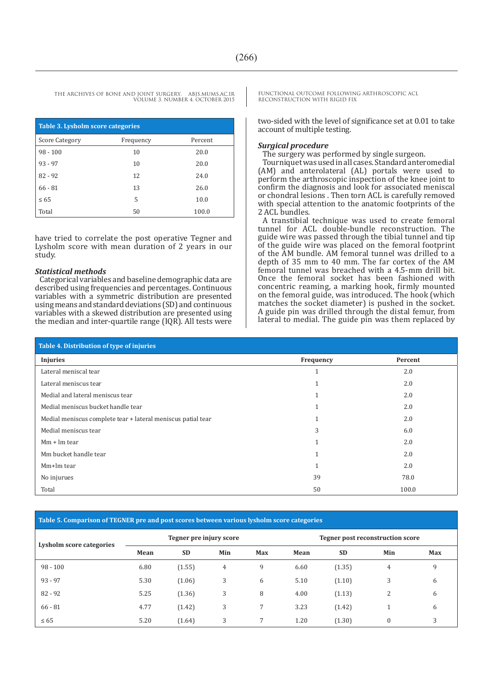| Table 3. Lysholm score categories |           |         |  |  |  |
|-----------------------------------|-----------|---------|--|--|--|
| Score Category                    | Frequency | Percent |  |  |  |
| $98 - 100$                        | 10        | 20.0    |  |  |  |
| $93 - 97$                         | 10        | 20.0    |  |  |  |
| $82 - 92$                         | 12        | 24.0    |  |  |  |
| $66 - 81$                         | 13        | 26.0    |  |  |  |
| $\leq 65$                         | 5         | 10.0    |  |  |  |
| Total                             | 50        | 100.0   |  |  |  |

have tried to correlate the post operative Tegner and Lysholm score with mean duration of 2 years in our study.

#### *Statistical methods*

Categorical variables and baseline demographic data are described using frequencies and percentages. Continuous variables with a symmetric distribution are presented using means and standard deviations (SD) and continuous variables with a skewed distribution are presented using the median and inter-quartile range  $[IQR]$ . All tests were FUNCTIONAL OUTCOME FOLLOWING ARTHROSCOPIC ACL RECONSTRUCTION WITH RIGID FIX

two-sided with the level of significance set at 0.01 to take account of multiple testing.

#### *Surgical procedure*

The surgery was performed by single surgeon.

Tourniquet was used in all cases. Standard anteromedial (AM) and anterolateral (AL) portals were used to perform the arthroscopic inspection of the knee joint to confirm the diagnosis and look for associated meniscal or chondral lesions . Then torn ACL is carefully removed with special attention to the anatomic footprints of the 2 ACL bundles.

A transtibial technique was used to create femoral tunnel for ACL double-bundle reconstruction. The guide wire was passed through the tibial tunnel and tip of the guide wire was placed on the femoral footprint of the AM bundle. AM femoral tunnel was drilled to a depth of 35 mm to 40 mm. The far cortex of the AM femoral tunnel was breached with a 4.5-mm drill bit. Once the femoral socket has been fashioned with concentric reaming, a marking hook, firmly mounted on the femoral guide, was introduced. The hook (which matches the socket diameter) is pushed in the socket. A guide pin was drilled through the distal femur, from lateral to medial. The guide pin was them replaced by

| Table 4. Distribution of type of injuries                    |              |         |  |  |  |
|--------------------------------------------------------------|--------------|---------|--|--|--|
| <b>Injuries</b>                                              | Frequency    | Percent |  |  |  |
| Lateral meniscal tear                                        | T            | 2.0     |  |  |  |
| Lateral meniscus tear                                        |              | 2.0     |  |  |  |
| Medial and lateral meniscus tear                             |              | 2.0     |  |  |  |
| Medial meniscus bucket handle tear                           |              | 2.0     |  |  |  |
| Medial meniscus complete tear + lateral meniscus patial tear |              | 2.0     |  |  |  |
| Medial meniscus tear                                         | 3            | 6.0     |  |  |  |
| $Mm + Im$ tear                                               |              | 2.0     |  |  |  |
| Mm bucket handle tear                                        |              | 2.0     |  |  |  |
| Mm+lm tear                                                   | $\mathbf{1}$ | 2.0     |  |  |  |
| No injurues                                                  | 39           | 78.0    |  |  |  |
| Total                                                        | 50           | 100.0   |  |  |  |

### **Table 5. Comparison of TEGNER pre and post scores between various lysholm score categories**

| Lysholm score categories | Tegner pre injury score |           |     | Tegner post reconstruction score |      |           |              |            |
|--------------------------|-------------------------|-----------|-----|----------------------------------|------|-----------|--------------|------------|
|                          | Mean                    | <b>SD</b> | Min | <b>Max</b>                       | Mean | <b>SD</b> | Min          | <b>Max</b> |
| $98 - 100$               | 6.80                    | (1.55)    | 4   | 9                                | 6.60 | (1.35)    | 4            | 9          |
| $93 - 97$                | 5.30                    | (1.06)    | 3   | 6                                | 5.10 | (1.10)    | 3            | 6          |
| $82 - 92$                | 5.25                    | (1.36)    | 3   | 8                                | 4.00 | (1.13)    | 2            | 6          |
| $66 - 81$                | 4.77                    | (1.42)    | 3   | 7                                | 3.23 | (1.42)    |              | 6          |
| $\leq 65$                | 5.20                    | (1.64)    | 3   | 7                                | 1.20 | (1.30)    | $\mathbf{0}$ | 3          |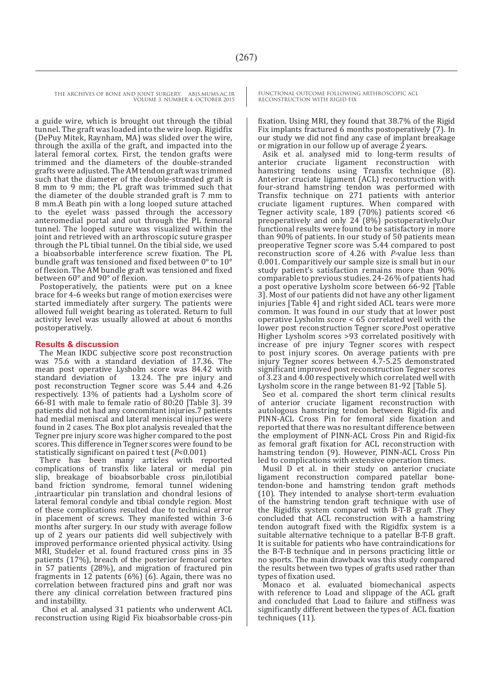a guide wire, which is brought out through the tibial tunnel. The graft was loaded into the wire loop. Rigidfix (DePuy Mitek, Raynham, MA) was slided over the wire, through the axilla of the graft, and impacted into the lateral femoral cortex. First, the tendon grafts were trimmed and the diameters of the double-stranded grafts were adjusted. The AM tendon graft was trimmed such that the diameter of the double-stranded graft is 8 mm to 9 mm; the PL graft was trimmed such that the diameter of the double stranded graft is 7 mm to 8 mm.A Beath pin with a long looped suture attached to the eyelet wass passed through the accessory anteromedial portal and out through the PL femoral tunnel. The looped suture was visualized within the joint and retrieved with an arthroscopic suture grasper through the PL tibial tunnel. On the tibial side, we used a bioabsorbable interference screw fixation. The PL bundle graft was tensioned and fixed between 0° to 10° of flexion. The AM bundle graft was tensioned and fixed between 60° and 90° of flexion.

Postoperatively, the patients were put on a knee brace for 4-6 weeks but range of motion exercises were started immediately after surgery. The patients were allowed full weight bearing as tolerated. Return to full activity level was usually allowed at about 6 months postoperatively.

#### **Results & discussion**

The Mean IKDC subjective score post reconstruction was 75.6 with a standard deviation of 17.36. The mean post operative Lysholm score was 84.42 with standard deviation of 13.24. The pre injury and 13.24. The pre injury and post reconstruction Tegner score was 5.44 and 4.26 respectively. 13% of patients had a Lysholm score of 66-81 with male to female ratio of 80:20 [Table 3]. 39 patients did not had any concomitant injuries.7 patients had medial meniscal and lateral meniscal injuries were found in 2 cases. The Box plot analysis revealed that the Tegner pre injury score was higher compared to the post scores. This difference in Tegner scores were found to be statistically significant on paired t test (*P*<0.001)

There has been many articles with reported complications of transfix like lateral or medial pin slip, breakage of bioabsorbable cross pin,ilotibial band friction syndrome, femoral tunnel widening ,intraarticular pin translation and chondral lesions of lateral femoral condyle and tibial condyle region. Most of these complications resulted due to technical error in placement of screws. They manifested within 3-6 months after surgery. In our study with average follow up of 2 years our patients did well subjectively with improved performance oriented physical activity. Using MRI, Studeler et al. found fractured cross pins in 35 patients (17%), breach of the posterior femoral cortex in 57 patients (28%), and migration of fractured pin fragments in 12 patents (6%) (6). Again, there was no correlation between fractured pins and graft nor was there any clinical correlation between fractured pins and instability.

 Choi et al. analysed 31 patients who underwent ACL reconstruction using Rigid Fix bioabsorbable cross-pin FUNCTIONAL OUTCOME FOLLOWING ARTHROSCOPIC ACL RECONSTRUCTION WITH RIGID FIX

fixation. Using MRI, they found that 38.7% of the Rigid Fix implants fractured 6 months postoperatively (7). In our study we did not find any case of implant breakage or migration in our follow up of average 2 years.

Asik et al. analysed mid to long-term results of anterior cruciate ligament reconstruction with hamstring tendons using Transfix technique (8). Anterior cruciate ligament (ACL) reconstruction with four-strand hamstring tendon was performed with Transfix technique on 271 patients with anterior cruciate ligament ruptures. When compared with Tegner activity scale, 189 (70%) patients scored <6 preoperatively and only 24 (8%) postoperatively.Our functional results were found to be satisfactory in more than 90% of patients. In our study of 50 patients mean preoperative Tegner score was 5.44 compared to post reconstruction score of 4.26 with *P-*value less than 0.001. Comparitively our sample size is small but in our study patient's satisfaction remains more than 90% comparable to previous studies. 24-26% of patients had a post operative Lysholm score between 66-92 [Table 3]. Most of our patients did not have any other ligament injuries [Table 4] and right sided ACL tears were more common. It was found in our study that at lower post operative Lysholm score < 65 correlated well with the lower post reconstruction Tegner score.Post operative Higher Lysholm scores >93 correlated positively with increase of pre injury Tegner scores with respect to post injury scores. On average patients with pre injury Tegner scores between 4.7-5.25 demonstrated significant improved post reconstruction Tegner scores of 3.23 and 4.00 respectively which correlated well with Lysholm score in the range between 81-92 [Table 5].

Seo et al. compared the short term clinical results of anterior cruciate ligament reconstruction with autologous hamstring tendon between Rigid-fix and PINN-ACL Cross Pin for femoral side fixation and reported that there was no resultant difference between the employment of PINN-ACL Cross Pin and Rigid-fix as femoral graft fixation for ACL reconstruction with hamstring tendon (9). However, PINN-ACL Cross Pin led to complications with extensive operation times.

Musil D et al. in their study on anterior cruciate ligament reconstruction compared patellar bonetendon-bone and hamstring tendon graft methods (10). They intended to analyse short-term evaluation of the hamstring tendon graft technique with use of the Rigidfix system compared with B-T-B graft .They concluded that ACL reconstruction with a hamstring tendon autograft fixed with the Rigidfix system is a suitable alternative technique to a patellar B-T-B graft. It is suitable for patients who have contraindications for the B-T-B technique and in persons practicing little or no sports. The main drawback was this study compared the results between two types of grafts used rather than types of fixation used.

Monaco et al. evaluated biomechanical aspects with reference to Load and slippage of the ACL graft and concluded that Load to failure and stiffness was significantly different between the types of ACL fixation techniques (11).